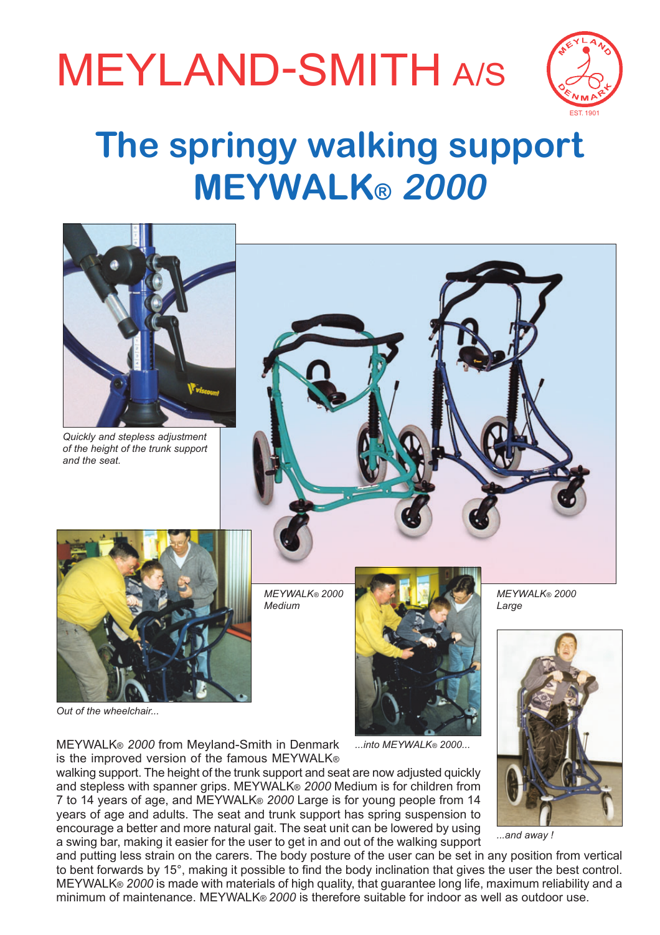# MEYLAND-SMITH A/S



## **The springy walking support MEYWALKÆ 2000**



*Out of the wheelchair...*





*...and away !*

MEYWALK® 2000 from Meyland-Smith in Denmark is the improved version of the famous MEYWALK®

walking support. The height of the trunk support and seat are now adjusted quickly and stepless with spanner grips. MEYWALK<sup>®</sup> 2000 Medium is for children from 7 to 14 years of age, and MEYWALK<sup>®</sup> 2000 Large is for young people from 14 years of age and adults. The seat and trunk support has spring suspension to encourage a better and more natural gait. The seat unit can be lowered by using a swing bar, making it easier for the user to get in and out of the walking support

and putting less strain on the carers. The body posture of the user can be set in any position from vertical to bent forwards by 15°, making it possible to find the body inclination that gives the user the best control. MEYWALK® 2000 is made with materials of high quality, that quarantee long life, maximum reliability and a minimum of maintenance. MEYWALK® 2000 is therefore suitable for indoor as well as outdoor use.